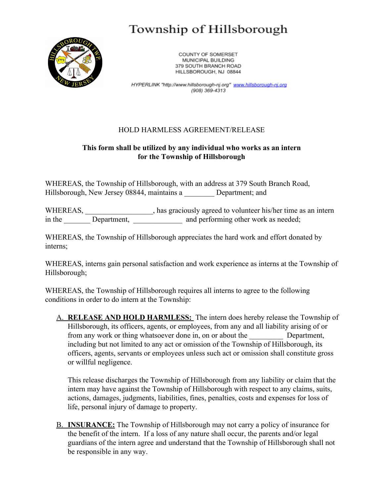## Township of Hillsborough



COUNTY OF SOMERSET MUNICIPAL BUILDING 379 SOUTH BRANCH ROAD HILLSBOROUGH, NJ 08844

HYPERLINK "http://www.hillsborough-nj.org" www.hillsborough-nj.org (908) 369-4313

## HOLD HARMLESS AGREEMENT/RELEASE

## **This form shall be utilized by any individual who works as an intern for the Township of Hillsborough**

WHEREAS, the Township of Hillsborough, with an address at 379 South Branch Road, Hillsborough, New Jersey 08844, maintains a Department; and

WHEREAS, has graciously agreed to volunteer his/her time as an intern in the Department, 2003 and performing other work as needed;

WHEREAS, the Township of Hillsborough appreciates the hard work and effort donated by interns;

WHEREAS, interns gain personal satisfaction and work experience as interns at the Township of Hillsborough;

WHEREAS, the Township of Hillsborough requires all interns to agree to the following conditions in order to do intern at the Township:

A. **RELEASE AND HOLD HARMLESS:** The intern does hereby release the Township of Hillsborough, its officers, agents, or employees, from any and all liability arising of or from any work or thing whatsoever done in, on or about the Department, including but not limited to any act or omission of the Township of Hillsborough, its officers, agents, servants or employees unless such act or omission shall constitute gross or willful negligence.

This release discharges the Township of Hillsborough from any liability or claim that the intern may have against the Township of Hillsborough with respect to any claims, suits, actions, damages, judgments, liabilities, fines, penalties, costs and expenses for loss of life, personal injury of damage to property.

B. **INSURANCE:** The Township of Hillsborough may not carry a policy of insurance for the benefit of the intern. If a loss of any nature shall occur, the parents and/or legal guardians of the intern agree and understand that the Township of Hillsborough shall not be responsible in any way.